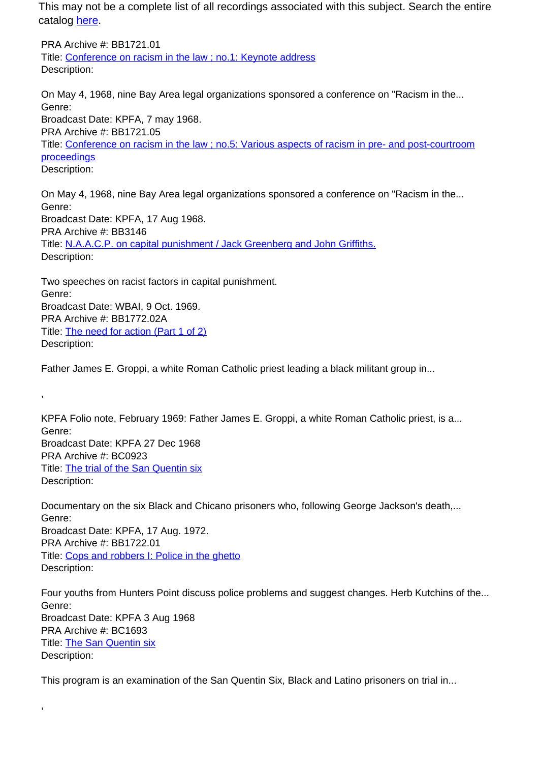This may not be a complete list of all recordings associated with this subject. Search the entire catalog [here.](http://pacificaradioarchives.org/keyword-search)

PRA Archive #: BB1721.01 Title: Conference on racism in the law ; no.1: Keynote address Description:

On May 4, 1968, nine Bay Area legal organizations sponsored a conference on "Racism in the... Genre: Broadcast Date: KPFA, 7 may 1968. PRA Archive #: BB1721.05 Title: Conference on racism in the law ; no.5: Various aspects of racism in pre- and post-courtroom proceedings Description:

On May 4, 1968, nine Bay Area legal organizations sponsored a conference on "Racism in the... Genre: Broadcast Date: KPFA, 17 Aug 1968. PRA Archive #: BB3146 Title: N.A.A.C.P. on capital punishment / Jack Greenberg and John Griffiths. Description:

Two speeches on racist factors in capital punishment. Genre: Broadcast Date: WBAI, 9 Oct. 1969. PRA Archive #: BB1772.02A Title: The need for action (Part 1 of 2) Description:

,

,

Father James E. Groppi, a white Roman Catholic priest leading a black militant group in...

KPFA Folio note, February 1969: Father James E. Groppi, a white Roman Catholic priest, is a... Genre: Broadcast Date: KPFA 27 Dec 1968 PRA Archive #: BC0923 Title: The trial of the San Quentin six Description:

Documentary on the six Black and Chicano prisoners who, following George Jackson's death,... Genre: Broadcast Date: KPFA, 17 Aug. 1972. PRA Archive #: BB1722.01 Title: Cops and robbers I: Police in the ghetto Description:

Four youths from Hunters Point discuss police problems and suggest changes. Herb Kutchins of the... Genre: Broadcast Date: KPFA 3 Aug 1968 PRA Archive #: BC1693 Title: The San Quentin six Description:

This program is an examination of the San Quentin Six, Black and Latino prisoners on trial in...